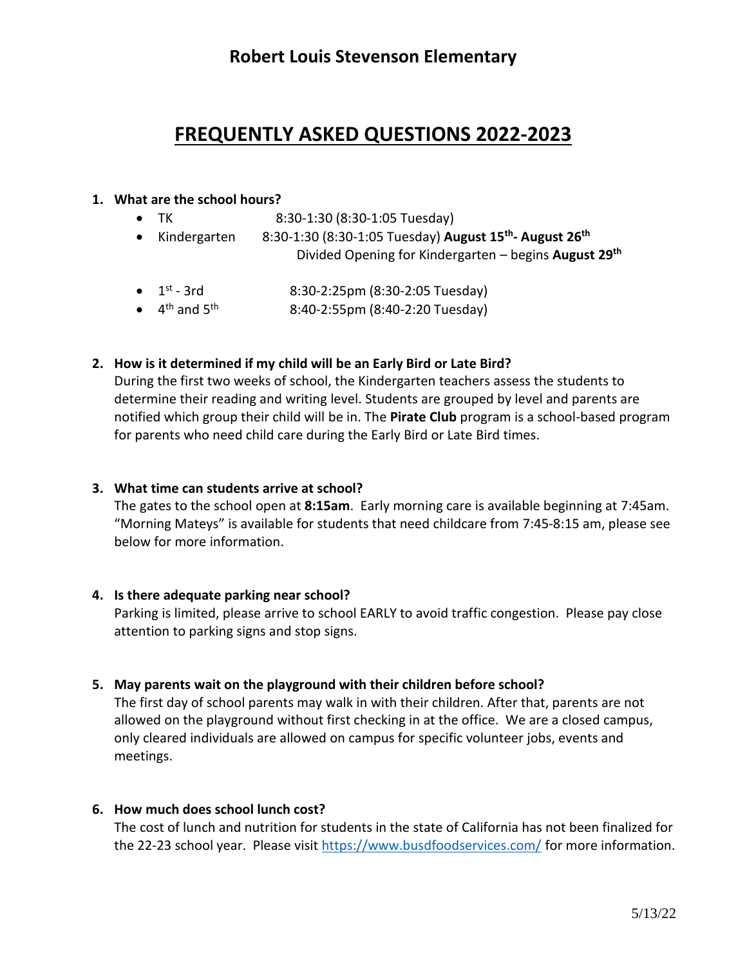## **Robert Louis Stevenson Elementary**

# **FREQUENTLY ASKED QUESTIONS 2022-2023**

#### **1. What are the school hours?**

- TK 8:30-1:30 (8:30-1:05 Tuesday)
- Kindergarten 8:30-1:30 (8:30-1:05 Tuesday) August 15<sup>th</sup>- August 26<sup>th</sup> Divided Opening for Kindergarten – begins **August 29th**
- $\bullet$  1<sup>st</sup> 8:30-2:25pm (8:30-2:05 Tuesday)
- $\bullet$  4<sup>th</sup> and 5 8:40-2:55pm (8:40-2:20 Tuesday)

#### **2. How is it determined if my child will be an Early Bird or Late Bird?**

During the first two weeks of school, the Kindergarten teachers assess the students to determine their reading and writing level. Students are grouped by level and parents are notified which group their child will be in. The **Pirate Club** program is a school-based program for parents who need child care during the Early Bird or Late Bird times.

#### **3. What time can students arrive at school?**

The gates to the school open at **8:15am**. Early morning care is available beginning at 7:45am. "Morning Mateys" is available for students that need childcare from 7:45-8:15 am, please see below for more information.

#### **4. Is there adequate parking near school?**

Parking is limited, please arrive to school EARLY to avoid traffic congestion. Please pay close attention to parking signs and stop signs.

#### **5. May parents wait on the playground with their children before school?**

The first day of school parents may walk in with their children. After that, parents are not allowed on the playground without first checking in at the office. We are a closed campus, only cleared individuals are allowed on campus for specific volunteer jobs, events and meetings.

#### **6. How much does school lunch cost?**

The cost of lunch and nutrition for students in the state of California has not been finalized for the 22-23 school year. Please visit<https://www.busdfoodservices.com/> for more information.